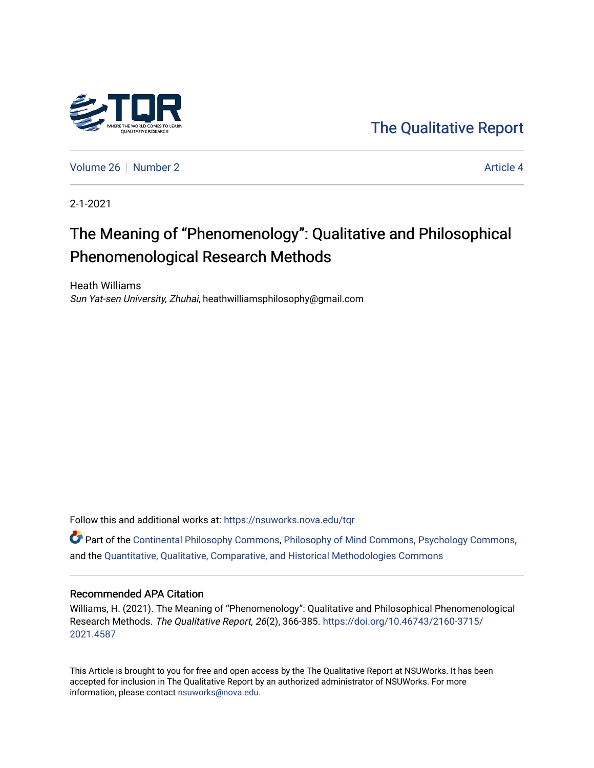

[The Qualitative Report](https://nsuworks.nova.edu/tqr) 

[Volume 26](https://nsuworks.nova.edu/tqr/vol26) [Number 2](https://nsuworks.nova.edu/tqr/vol26/iss2) Article 4

2-1-2021

## The Meaning of "Phenomenology": Qualitative and Philosophical Phenomenological Research Methods

Heath Williams Sun Yat-sen University, Zhuhai, heathwilliamsphilosophy@gmail.com

Follow this and additional works at: [https://nsuworks.nova.edu/tqr](https://nsuworks.nova.edu/tqr?utm_source=nsuworks.nova.edu%2Ftqr%2Fvol26%2Fiss2%2F4&utm_medium=PDF&utm_campaign=PDFCoverPages) 

Part of the [Continental Philosophy Commons](http://network.bepress.com/hgg/discipline/526?utm_source=nsuworks.nova.edu%2Ftqr%2Fvol26%2Fiss2%2F4&utm_medium=PDF&utm_campaign=PDFCoverPages), [Philosophy of Mind Commons,](http://network.bepress.com/hgg/discipline/535?utm_source=nsuworks.nova.edu%2Ftqr%2Fvol26%2Fiss2%2F4&utm_medium=PDF&utm_campaign=PDFCoverPages) [Psychology Commons,](http://network.bepress.com/hgg/discipline/404?utm_source=nsuworks.nova.edu%2Ftqr%2Fvol26%2Fiss2%2F4&utm_medium=PDF&utm_campaign=PDFCoverPages) and the [Quantitative, Qualitative, Comparative, and Historical Methodologies Commons](http://network.bepress.com/hgg/discipline/423?utm_source=nsuworks.nova.edu%2Ftqr%2Fvol26%2Fiss2%2F4&utm_medium=PDF&utm_campaign=PDFCoverPages)

#### Recommended APA Citation

Williams, H. (2021). The Meaning of "Phenomenology": Qualitative and Philosophical Phenomenological Research Methods. The Qualitative Report, 26(2), 366-385. [https://doi.org/10.46743/2160-3715/](https://doi.org/10.46743/2160-3715/2021.4587) [2021.4587](https://doi.org/10.46743/2160-3715/2021.4587) 

This Article is brought to you for free and open access by the The Qualitative Report at NSUWorks. It has been accepted for inclusion in The Qualitative Report by an authorized administrator of NSUWorks. For more information, please contact [nsuworks@nova.edu.](mailto:nsuworks@nova.edu)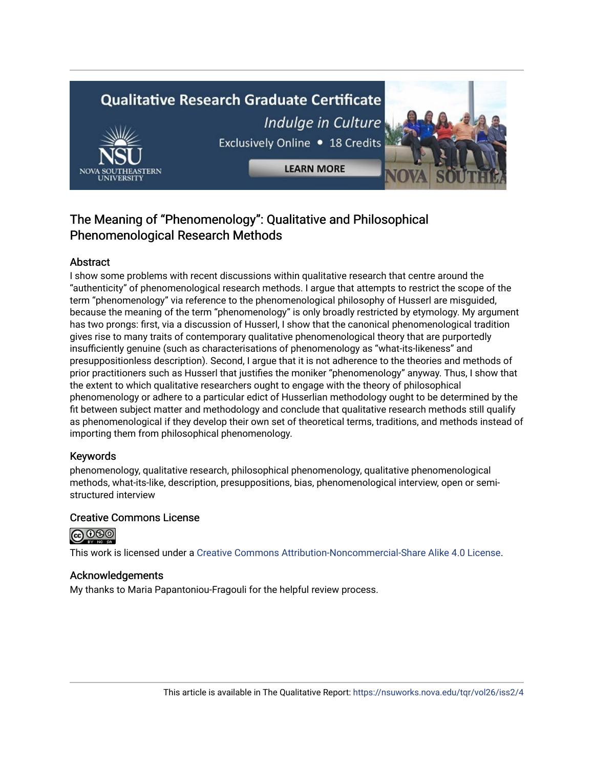# **Qualitative Research Graduate Certificate** Indulge in Culture Exclusively Online . 18 Credits

**LEARN MORE** 

### The Meaning of "Phenomenology": Qualitative and Philosophical Phenomenological Research Methods

#### Abstract

I show some problems with recent discussions within qualitative research that centre around the "authenticity" of phenomenological research methods. I argue that attempts to restrict the scope of the term "phenomenology" via reference to the phenomenological philosophy of Husserl are misguided, because the meaning of the term "phenomenology" is only broadly restricted by etymology. My argument has two prongs: first, via a discussion of Husserl, I show that the canonical phenomenological tradition gives rise to many traits of contemporary qualitative phenomenological theory that are purportedly insufficiently genuine (such as characterisations of phenomenology as "what-its-likeness" and presuppositionless description). Second, I argue that it is not adherence to the theories and methods of prior practitioners such as Husserl that justifies the moniker "phenomenology" anyway. Thus, I show that the extent to which qualitative researchers ought to engage with the theory of philosophical phenomenology or adhere to a particular edict of Husserlian methodology ought to be determined by the fit between subject matter and methodology and conclude that qualitative research methods still qualify as phenomenological if they develop their own set of theoretical terms, traditions, and methods instead of importing them from philosophical phenomenology.

#### Keywords

phenomenology, qualitative research, philosophical phenomenology, qualitative phenomenological methods, what-its-like, description, presuppositions, bias, phenomenological interview, open or semistructured interview

#### Creative Commons License



This work is licensed under a [Creative Commons Attribution-Noncommercial-Share Alike 4.0 License](https://creativecommons.org/licenses/by-nc-sa/4.0/).

#### Acknowledgements

My thanks to Maria Papantoniou-Fragouli for the helpful review process.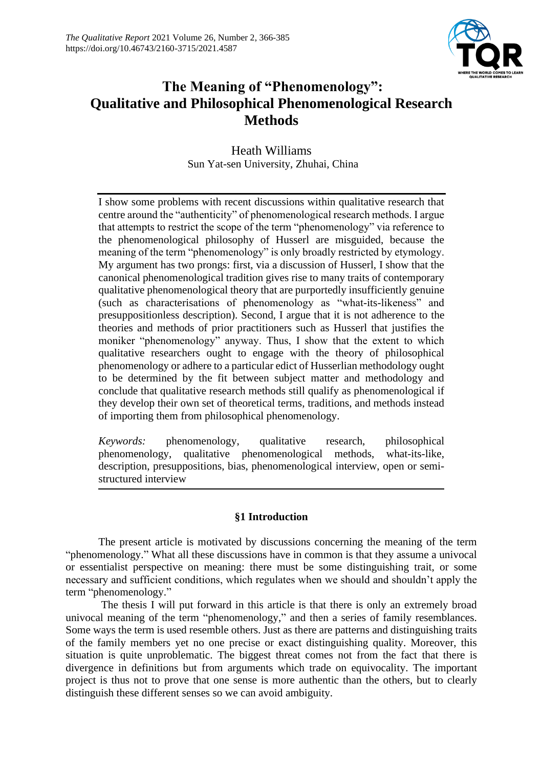

## **The Meaning of "Phenomenology": Qualitative and Philosophical Phenomenological Research Methods**

#### Heath Williams Sun Yat-sen University, Zhuhai, China

I show some problems with recent discussions within qualitative research that centre around the "authenticity" of phenomenological research methods. I argue that attempts to restrict the scope of the term "phenomenology" via reference to the phenomenological philosophy of Husserl are misguided, because the meaning of the term "phenomenology" is only broadly restricted by etymology. My argument has two prongs: first, via a discussion of Husserl, I show that the canonical phenomenological tradition gives rise to many traits of contemporary qualitative phenomenological theory that are purportedly insufficiently genuine (such as characterisations of phenomenology as "what-its-likeness" and presuppositionless description). Second, I argue that it is not adherence to the theories and methods of prior practitioners such as Husserl that justifies the moniker "phenomenology" anyway. Thus, I show that the extent to which qualitative researchers ought to engage with the theory of philosophical phenomenology or adhere to a particular edict of Husserlian methodology ought to be determined by the fit between subject matter and methodology and conclude that qualitative research methods still qualify as phenomenological if they develop their own set of theoretical terms, traditions, and methods instead of importing them from philosophical phenomenology.

*Keywords:* phenomenology, qualitative research, philosophical phenomenology, qualitative phenomenological methods, what-its-like, description, presuppositions, bias, phenomenological interview, open or semistructured interview

#### **§1 Introduction**

The present article is motivated by discussions concerning the meaning of the term "phenomenology." What all these discussions have in common is that they assume a univocal or essentialist perspective on meaning: there must be some distinguishing trait, or some necessary and sufficient conditions, which regulates when we should and shouldn't apply the term "phenomenology."

The thesis I will put forward in this article is that there is only an extremely broad univocal meaning of the term "phenomenology," and then a series of family resemblances. Some ways the term is used resemble others. Just as there are patterns and distinguishing traits of the family members yet no one precise or exact distinguishing quality. Moreover, this situation is quite unproblematic. The biggest threat comes not from the fact that there is divergence in definitions but from arguments which trade on equivocality. The important project is thus not to prove that one sense is more authentic than the others, but to clearly distinguish these different senses so we can avoid ambiguity.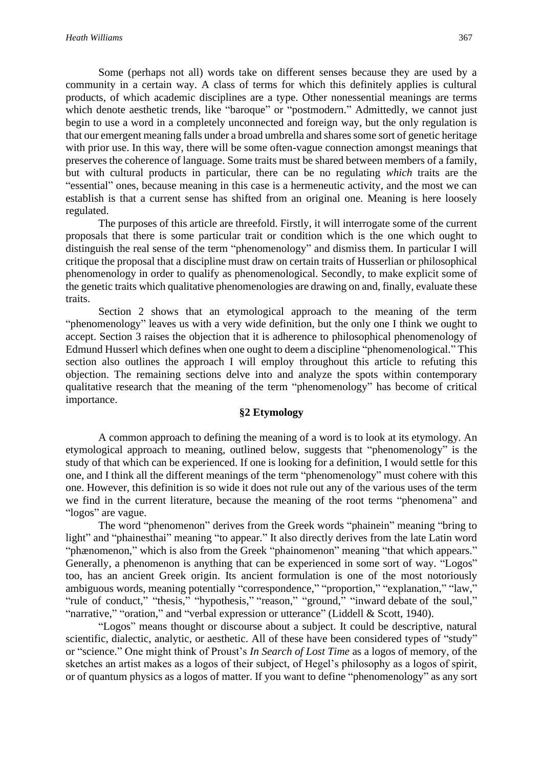Some (perhaps not all) words take on different senses because they are used by a community in a certain way. A class of terms for which this definitely applies is cultural products, of which academic disciplines are a type. Other nonessential meanings are terms which denote aesthetic trends, like "baroque" or "postmodern." Admittedly, we cannot just begin to use a word in a completely unconnected and foreign way, but the only regulation is that our emergent meaning falls under a broad umbrella and shares some sort of genetic heritage with prior use. In this way, there will be some often-vague connection amongst meanings that preserves the coherence of language. Some traits must be shared between members of a family, but with cultural products in particular, there can be no regulating *which* traits are the "essential" ones, because meaning in this case is a hermeneutic activity, and the most we can establish is that a current sense has shifted from an original one. Meaning is here loosely regulated.

The purposes of this article are threefold. Firstly, it will interrogate some of the current proposals that there is some particular trait or condition which is the one which ought to distinguish the real sense of the term "phenomenology" and dismiss them. In particular I will critique the proposal that a discipline must draw on certain traits of Husserlian or philosophical phenomenology in order to qualify as phenomenological. Secondly, to make explicit some of the genetic traits which qualitative phenomenologies are drawing on and, finally, evaluate these traits.

Section 2 shows that an etymological approach to the meaning of the term "phenomenology" leaves us with a very wide definition, but the only one I think we ought to accept. Section 3 raises the objection that it is adherence to philosophical phenomenology of Edmund Husserl which defines when one ought to deem a discipline "phenomenological." This section also outlines the approach I will employ throughout this article to refuting this objection. The remaining sections delve into and analyze the spots within contemporary qualitative research that the meaning of the term "phenomenology" has become of critical importance.

#### **§2 Etymology**

A common approach to defining the meaning of a word is to look at its etymology. An etymological approach to meaning, outlined below, suggests that "phenomenology" is the study of that which can be experienced. If one is looking for a definition, I would settle for this one, and I think all the different meanings of the term "phenomenology" must cohere with this one. However, this definition is so wide it does not rule out any of the various uses of the term we find in the current literature, because the meaning of the root terms "phenomena" and "logos" are vague.

The word "phenomenon" derives from the Greek words "phainein" meaning "bring to light" and "phainesthai" meaning "to appear." It also directly derives from the late Latin word "phænomenon," which is also from the Greek "phainomenon" meaning "that which appears." Generally, a phenomenon is anything that can be experienced in some sort of way. "Logos" too, has an ancient Greek origin. Its ancient formulation is one of the most notoriously ambiguous words, meaning potentially "correspondence," "proportion," "explanation," "law," "rule of conduct," "thesis," "hypothesis," "reason," "ground," "inward debate of the soul," "narrative," "oration," and "verbal expression or utterance" (Liddell & Scott, 1940).

"Logos" means thought or discourse about a subject. It could be descriptive, natural scientific, dialectic, analytic, or aesthetic. All of these have been considered types of "study" or "science." One might think of Proust's *In Search of Lost Time* as a logos of memory, of the sketches an artist makes as a logos of their subject, of Hegel's philosophy as a logos of spirit, or of quantum physics as a logos of matter. If you want to define "phenomenology" as any sort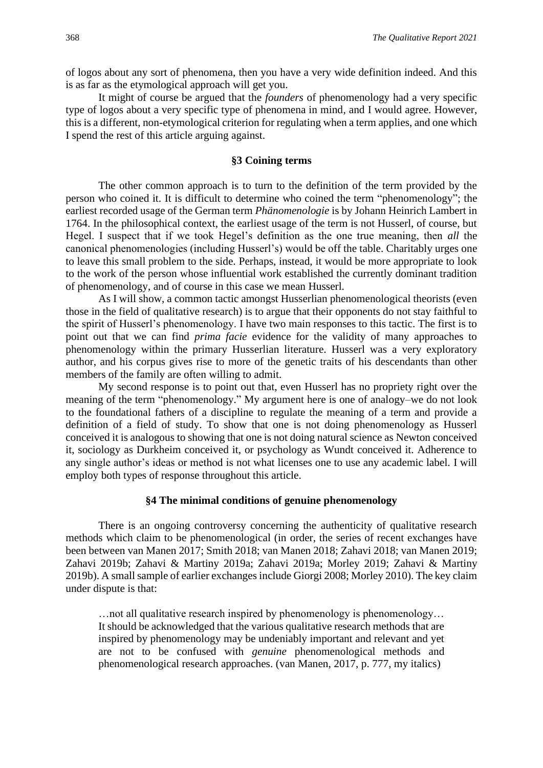of logos about any sort of phenomena, then you have a very wide definition indeed. And this is as far as the etymological approach will get you.

It might of course be argued that the *founders* of phenomenology had a very specific type of logos about a very specific type of phenomena in mind, and I would agree. However, this is a different, non-etymological criterion for regulating when a term applies, and one which I spend the rest of this article arguing against.

#### **§3 Coining terms**

The other common approach is to turn to the definition of the term provided by the person who coined it. It is difficult to determine who coined the term "phenomenology"; the earliest recorded usage of the German term *Phänomenologie* is by Johann Heinrich Lambert in 1764. In the philosophical context, the earliest usage of the term is not Husserl, of course, but Hegel. I suspect that if we took Hegel's definition as the one true meaning, then *all* the canonical phenomenologies (including Husserl's) would be off the table. Charitably urges one to leave this small problem to the side. Perhaps, instead, it would be more appropriate to look to the work of the person whose influential work established the currently dominant tradition of phenomenology, and of course in this case we mean Husserl.

As I will show, a common tactic amongst Husserlian phenomenological theorists (even those in the field of qualitative research) is to argue that their opponents do not stay faithful to the spirit of Husserl's phenomenology. I have two main responses to this tactic. The first is to point out that we can find *prima facie* evidence for the validity of many approaches to phenomenology within the primary Husserlian literature. Husserl was a very exploratory author, and his corpus gives rise to more of the genetic traits of his descendants than other members of the family are often willing to admit.

My second response is to point out that, even Husserl has no propriety right over the meaning of the term "phenomenology." My argument here is one of analogy–we do not look to the foundational fathers of a discipline to regulate the meaning of a term and provide a definition of a field of study. To show that one is not doing phenomenology as Husserl conceived it is analogous to showing that one is not doing natural science as Newton conceived it, sociology as Durkheim conceived it, or psychology as Wundt conceived it. Adherence to any single author's ideas or method is not what licenses one to use any academic label. I will employ both types of response throughout this article.

#### **§4 The minimal conditions of genuine phenomenology**

There is an ongoing controversy concerning the authenticity of qualitative research methods which claim to be phenomenological (in order, the series of recent exchanges have been between van Manen 2017; Smith 2018; van Manen 2018; Zahavi 2018; van Manen 2019; Zahavi 2019b; Zahavi & Martiny 2019a; Zahavi 2019a; Morley 2019; Zahavi & Martiny 2019b). A small sample of earlier exchanges include Giorgi 2008; Morley 2010). The key claim under dispute is that:

…not all qualitative research inspired by phenomenology is phenomenology… It should be acknowledged that the various qualitative research methods that are inspired by phenomenology may be undeniably important and relevant and yet are not to be confused with *genuine* phenomenological methods and phenomenological research approaches. (van Manen, 2017, p. 777, my italics)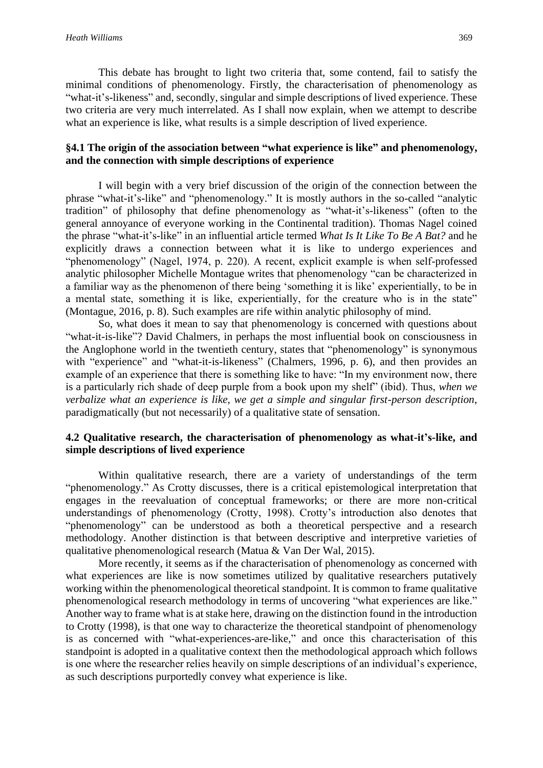This debate has brought to light two criteria that, some contend, fail to satisfy the minimal conditions of phenomenology. Firstly, the characterisation of phenomenology as "what-it's-likeness" and, secondly, singular and simple descriptions of lived experience. These two criteria are very much interrelated. As I shall now explain, when we attempt to describe what an experience is like, what results is a simple description of lived experience.

#### **§4.1 The origin of the association between "what experience is like" and phenomenology, and the connection with simple descriptions of experience**

I will begin with a very brief discussion of the origin of the connection between the phrase "what-it's-like" and "phenomenology." It is mostly authors in the so-called "analytic tradition" of philosophy that define phenomenology as "what-it's-likeness" (often to the general annoyance of everyone working in the Continental tradition). Thomas Nagel coined the phrase "what-it's-like" in an influential article termed *What Is It Like To Be A Bat?* and he explicitly draws a connection between what it is like to undergo experiences and "phenomenology" (Nagel, 1974, p. 220). A recent, explicit example is when self-professed analytic philosopher Michelle Montague writes that phenomenology "can be characterized in a familiar way as the phenomenon of there being 'something it is like' experientially, to be in a mental state, something it is like, experientially, for the creature who is in the state" (Montague, 2016, p. 8). Such examples are rife within analytic philosophy of mind.

So, what does it mean to say that phenomenology is concerned with questions about "what-it-is-like"? David Chalmers, in perhaps the most influential book on consciousness in the Anglophone world in the twentieth century, states that "phenomenology" is synonymous with "experience" and "what-it-is-likeness" (Chalmers, 1996, p. 6), and then provides an example of an experience that there is something like to have: "In my environment now, there is a particularly rich shade of deep purple from a book upon my shelf" (ibid). Thus, *when we verbalize what an experience is like, we get a simple and singular first-person description*, paradigmatically (but not necessarily) of a qualitative state of sensation.

#### **4.2 Qualitative research, the characterisation of phenomenology as what-it's-like, and simple descriptions of lived experience**

Within qualitative research, there are a variety of understandings of the term "phenomenology." As Crotty discusses, there is a critical epistemological interpretation that engages in the reevaluation of conceptual frameworks; or there are more non-critical understandings of phenomenology (Crotty, 1998). Crotty's introduction also denotes that "phenomenology" can be understood as both a theoretical perspective and a research methodology. Another distinction is that between descriptive and interpretive varieties of qualitative phenomenological research (Matua & Van Der Wal, 2015).

More recently, it seems as if the characterisation of phenomenology as concerned with what experiences are like is now sometimes utilized by qualitative researchers putatively working within the phenomenological theoretical standpoint. It is common to frame qualitative phenomenological research methodology in terms of uncovering "what experiences are like." Another way to frame what is at stake here, drawing on the distinction found in the introduction to Crotty (1998), is that one way to characterize the theoretical standpoint of phenomenology is as concerned with "what-experiences-are-like," and once this characterisation of this standpoint is adopted in a qualitative context then the methodological approach which follows is one where the researcher relies heavily on simple descriptions of an individual's experience, as such descriptions purportedly convey what experience is like.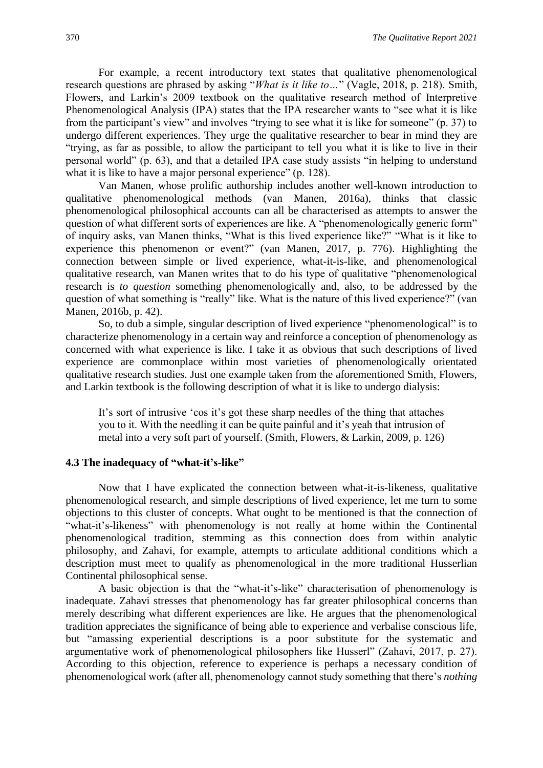For example, a recent introductory text states that qualitative phenomenological research questions are phrased by asking "*What is it like to…*" (Vagle, 2018, p. 218). Smith, Flowers, and Larkin's 2009 textbook on the qualitative research method of Interpretive Phenomenological Analysis (IPA) states that the IPA researcher wants to "see what it is like from the participant's view" and involves "trying to see what it is like for someone" (p. 37) to undergo different experiences. They urge the qualitative researcher to bear in mind they are "trying, as far as possible, to allow the participant to tell you what it is like to live in their personal world" (p. 63), and that a detailed IPA case study assists "in helping to understand what it is like to have a major personal experience" (p. 128).

Van Manen, whose prolific authorship includes another well-known introduction to qualitative phenomenological methods (van Manen, 2016a), thinks that classic phenomenological philosophical accounts can all be characterised as attempts to answer the question of what different sorts of experiences are like. A "phenomenologically generic form" of inquiry asks, van Manen thinks, "What is this lived experience like?" "What is it like to experience this phenomenon or event?" (van Manen, 2017, p. 776). Highlighting the connection between simple or lived experience, what-it-is-like, and phenomenological qualitative research, van Manen writes that to do his type of qualitative "phenomenological research is *to question* something phenomenologically and, also, to be addressed by the question of what something is "really" like. What is the nature of this lived experience?" (van Manen, 2016b, p. 42).

So, to dub a simple, singular description of lived experience "phenomenological" is to characterize phenomenology in a certain way and reinforce a conception of phenomenology as concerned with what experience is like. I take it as obvious that such descriptions of lived experience are commonplace within most varieties of phenomenologically orientated qualitative research studies. Just one example taken from the aforementioned Smith, Flowers, and Larkin textbook is the following description of what it is like to undergo dialysis:

It's sort of intrusive 'cos it's got these sharp needles of the thing that attaches you to it. With the needling it can be quite painful and it's yeah that intrusion of metal into a very soft part of yourself. (Smith, Flowers, & Larkin, 2009, p. 126)

#### **4.3 The inadequacy of "what-it's-like"**

Now that I have explicated the connection between what-it-is-likeness, qualitative phenomenological research, and simple descriptions of lived experience, let me turn to some objections to this cluster of concepts. What ought to be mentioned is that the connection of "what-it's-likeness" with phenomenology is not really at home within the Continental phenomenological tradition, stemming as this connection does from within analytic philosophy, and Zahavi, for example, attempts to articulate additional conditions which a description must meet to qualify as phenomenological in the more traditional Husserlian Continental philosophical sense.

A basic objection is that the "what-it's-like" characterisation of phenomenology is inadequate. Zahavi stresses that phenomenology has far greater philosophical concerns than merely describing what different experiences are like. He argues that the phenomenological tradition appreciates the significance of being able to experience and verbalise conscious life, but "amassing experiential descriptions is a poor substitute for the systematic and argumentative work of phenomenological philosophers like Husserl" (Zahavi, 2017, p. 27). According to this objection, reference to experience is perhaps a necessary condition of phenomenological work (after all, phenomenology cannot study something that there's *nothing*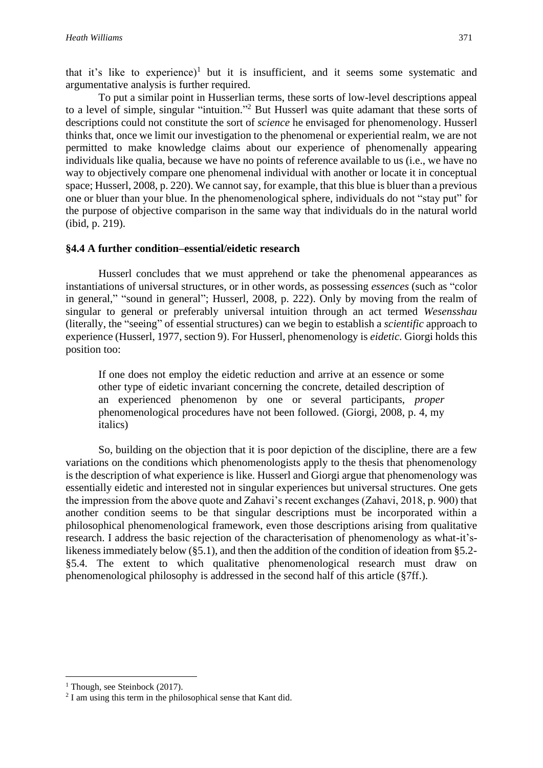that it's like to experience)<sup>1</sup> but it is insufficient, and it seems some systematic and argumentative analysis is further required.

To put a similar point in Husserlian terms, these sorts of low-level descriptions appeal to a level of simple, singular "intuition."<sup>2</sup> But Husserl was quite adamant that these sorts of descriptions could not constitute the sort of *science* he envisaged for phenomenology. Husserl thinks that, once we limit our investigation to the phenomenal or experiential realm, we are not permitted to make knowledge claims about our experience of phenomenally appearing individuals like qualia, because we have no points of reference available to us (i.e., we have no way to objectively compare one phenomenal individual with another or locate it in conceptual space; Husserl, 2008, p. 220). We cannot say, for example, that this blue is bluer than a previous one or bluer than your blue. In the phenomenological sphere, individuals do not "stay put" for the purpose of objective comparison in the same way that individuals do in the natural world (ibid, p. 219).

#### **§4.4 A further condition–essential/eidetic research**

Husserl concludes that we must apprehend or take the phenomenal appearances as instantiations of universal structures, or in other words, as possessing *essences* (such as "color in general," "sound in general"; Husserl, 2008, p. 222). Only by moving from the realm of singular to general or preferably universal intuition through an act termed *Wesensshau* (literally, the "seeing" of essential structures) can we begin to establish a *scientific* approach to experience (Husserl, 1977, section 9). For Husserl, phenomenology is *eidetic.* Giorgi holds this position too:

If one does not employ the eidetic reduction and arrive at an essence or some other type of eidetic invariant concerning the concrete, detailed description of an experienced phenomenon by one or several participants, *proper* phenomenological procedures have not been followed. (Giorgi, 2008, p. 4, my italics)

So, building on the objection that it is poor depiction of the discipline, there are a few variations on the conditions which phenomenologists apply to the thesis that phenomenology is the description of what experience is like. Husserl and Giorgi argue that phenomenology was essentially eidetic and interested not in singular experiences but universal structures. One gets the impression from the above quote and Zahavi's recent exchanges (Zahavi, 2018, p. 900) that another condition seems to be that singular descriptions must be incorporated within a philosophical phenomenological framework, even those descriptions arising from qualitative research. I address the basic rejection of the characterisation of phenomenology as what-it'slikeness immediately below (§5.1), and then the addition of the condition of ideation from §5.2- §5.4. The extent to which qualitative phenomenological research must draw on phenomenological philosophy is addressed in the second half of this article (§7ff.).

<sup>&</sup>lt;sup>1</sup> Though, see Steinbock (2017).

<sup>&</sup>lt;sup>2</sup> I am using this term in the philosophical sense that Kant did.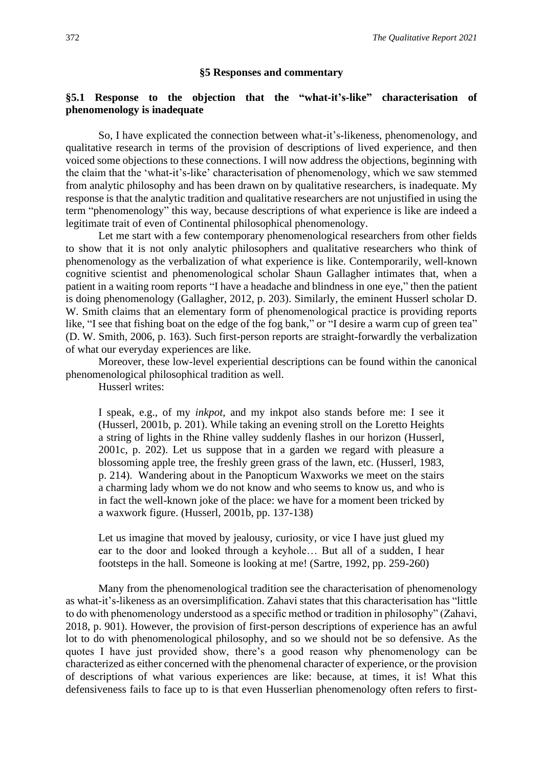#### **§5 Responses and commentary**

#### **§5.1 Response to the objection that the "what-it's-like" characterisation of phenomenology is inadequate**

So, I have explicated the connection between what-it's-likeness, phenomenology, and qualitative research in terms of the provision of descriptions of lived experience, and then voiced some objections to these connections. I will now address the objections, beginning with the claim that the 'what-it's-like' characterisation of phenomenology, which we saw stemmed from analytic philosophy and has been drawn on by qualitative researchers, is inadequate. My response is that the analytic tradition and qualitative researchers are not unjustified in using the term "phenomenology" this way, because descriptions of what experience is like are indeed a legitimate trait of even of Continental philosophical phenomenology.

Let me start with a few contemporary phenomenological researchers from other fields to show that it is not only analytic philosophers and qualitative researchers who think of phenomenology as the verbalization of what experience is like. Contemporarily, well-known cognitive scientist and phenomenological scholar Shaun Gallagher intimates that, when a patient in a waiting room reports "I have a headache and blindness in one eye," then the patient is doing phenomenology (Gallagher, 2012, p. 203). Similarly, the eminent Husserl scholar D. W. Smith claims that an elementary form of phenomenological practice is providing reports like, "I see that fishing boat on the edge of the fog bank," or "I desire a warm cup of green tea" (D. W. Smith, 2006, p. 163). Such first-person reports are straight-forwardly the verbalization of what our everyday experiences are like.

Moreover, these low-level experiential descriptions can be found within the canonical phenomenological philosophical tradition as well.

Husserl writes:

I speak, e.g., of my *inkpot*, and my inkpot also stands before me: I see it (Husserl, 2001b, p. 201). While taking an evening stroll on the Loretto Heights a string of lights in the Rhine valley suddenly flashes in our horizon (Husserl, 2001c, p. 202). Let us suppose that in a garden we regard with pleasure a blossoming apple tree, the freshly green grass of the lawn, etc. (Husserl, 1983, p. 214). Wandering about in the Panopticum Waxworks we meet on the stairs a charming lady whom we do not know and who seems to know us, and who is in fact the well-known joke of the place: we have for a moment been tricked by a waxwork figure. (Husserl, 2001b, pp. 137-138)

Let us imagine that moved by jealousy, curiosity, or vice I have just glued my ear to the door and looked through a keyhole… But all of a sudden, I hear footsteps in the hall. Someone is looking at me! (Sartre, 1992, pp. 259-260)

Many from the phenomenological tradition see the characterisation of phenomenology as what-it's-likeness as an oversimplification. Zahavi states that this characterisation has "little to do with phenomenology understood as a specific method or tradition in philosophy" (Zahavi, 2018, p. 901). However, the provision of first-person descriptions of experience has an awful lot to do with phenomenological philosophy, and so we should not be so defensive. As the quotes I have just provided show, there's a good reason why phenomenology can be characterized as either concerned with the phenomenal character of experience, or the provision of descriptions of what various experiences are like: because, at times, it is! What this defensiveness fails to face up to is that even Husserlian phenomenology often refers to first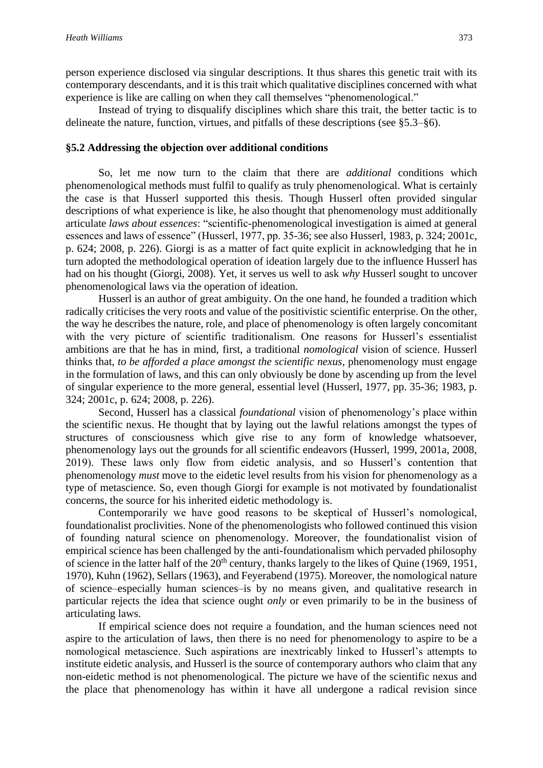person experience disclosed via singular descriptions. It thus shares this genetic trait with its contemporary descendants, and it is this trait which qualitative disciplines concerned with what experience is like are calling on when they call themselves "phenomenological."

Instead of trying to disqualify disciplines which share this trait, the better tactic is to delineate the nature, function, virtues, and pitfalls of these descriptions (see §5.3–§6).

#### **§5.2 Addressing the objection over additional conditions**

So, let me now turn to the claim that there are *additional* conditions which phenomenological methods must fulfil to qualify as truly phenomenological. What is certainly the case is that Husserl supported this thesis. Though Husserl often provided singular descriptions of what experience is like, he also thought that phenomenology must additionally articulate *laws about essences*: "scientific-phenomenological investigation is aimed at general essences and laws of essence" (Husserl, 1977, pp. 35-36; see also Husserl, 1983, p. 324; 2001c, p. 624; 2008, p. 226). Giorgi is as a matter of fact quite explicit in acknowledging that he in turn adopted the methodological operation of ideation largely due to the influence Husserl has had on his thought (Giorgi, 2008). Yet, it serves us well to ask *why* Husserl sought to uncover phenomenological laws via the operation of ideation.

Husserl is an author of great ambiguity. On the one hand, he founded a tradition which radically criticises the very roots and value of the positivistic scientific enterprise. On the other, the way he describes the nature, role, and place of phenomenology is often largely concomitant with the very picture of scientific traditionalism. One reasons for Husserl's essentialist ambitions are that he has in mind, first, a traditional *nomological* vision of science. Husserl thinks that, *to be afforded a place amongst the scientific nexus*, phenomenology must engage in the formulation of laws, and this can only obviously be done by ascending up from the level of singular experience to the more general, essential level (Husserl, 1977, pp. 35-36; 1983, p. 324; 2001c, p. 624; 2008, p. 226).

Second, Husserl has a classical *foundational* vision of phenomenology's place within the scientific nexus. He thought that by laying out the lawful relations amongst the types of structures of consciousness which give rise to any form of knowledge whatsoever, phenomenology lays out the grounds for all scientific endeavors (Husserl, 1999, 2001a, 2008, 2019). These laws only flow from eidetic analysis, and so Husserl's contention that phenomenology *must* move to the eidetic level results from his vision for phenomenology as a type of metascience. So, even though Giorgi for example is not motivated by foundationalist concerns, the source for his inherited eidetic methodology is.

Contemporarily we have good reasons to be skeptical of Husserl's nomological, foundationalist proclivities. None of the phenomenologists who followed continued this vision of founding natural science on phenomenology. Moreover, the foundationalist vision of empirical science has been challenged by the anti-foundationalism which pervaded philosophy of science in the latter half of the  $20<sup>th</sup>$  century, thanks largely to the likes of Quine (1969, 1951, 1970), Kuhn (1962), Sellars (1963), and Feyerabend (1975). Moreover, the nomological nature of science–especially human sciences–is by no means given, and qualitative research in particular rejects the idea that science ought *only* or even primarily to be in the business of articulating laws.

If empirical science does not require a foundation, and the human sciences need not aspire to the articulation of laws, then there is no need for phenomenology to aspire to be a nomological metascience. Such aspirations are inextricably linked to Husserl's attempts to institute eidetic analysis, and Husserl is the source of contemporary authors who claim that any non-eidetic method is not phenomenological. The picture we have of the scientific nexus and the place that phenomenology has within it have all undergone a radical revision since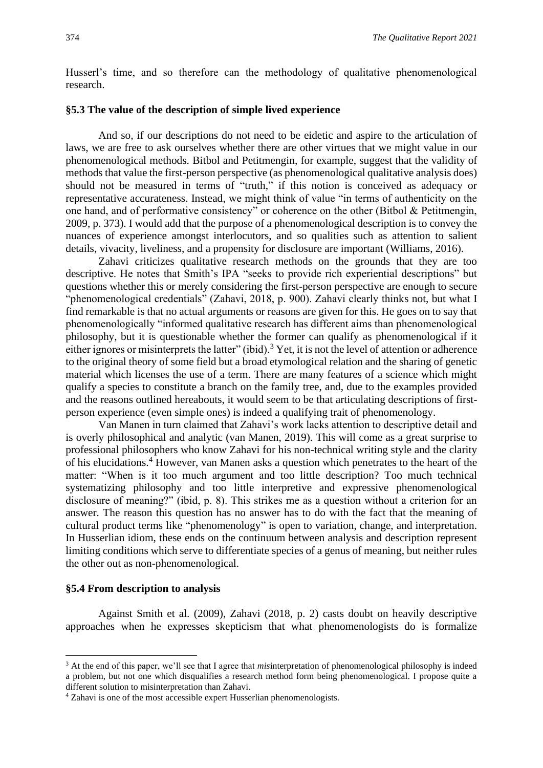Husserl's time, and so therefore can the methodology of qualitative phenomenological research.

#### **§5.3 The value of the description of simple lived experience**

And so, if our descriptions do not need to be eidetic and aspire to the articulation of laws, we are free to ask ourselves whether there are other virtues that we might value in our phenomenological methods. Bitbol and Petitmengin, for example, suggest that the validity of methods that value the first-person perspective (as phenomenological qualitative analysis does) should not be measured in terms of "truth," if this notion is conceived as adequacy or representative accurateness. Instead, we might think of value "in terms of authenticity on the one hand, and of performative consistency" or coherence on the other (Bitbol & Petitmengin, 2009, p. 373). I would add that the purpose of a phenomenological description is to convey the nuances of experience amongst interlocutors, and so qualities such as attention to salient details, vivacity, liveliness, and a propensity for disclosure are important (Williams, 2016).

Zahavi criticizes qualitative research methods on the grounds that they are too descriptive. He notes that Smith's IPA "seeks to provide rich experiential descriptions" but questions whether this or merely considering the first-person perspective are enough to secure "phenomenological credentials" (Zahavi, 2018, p. 900). Zahavi clearly thinks not, but what I find remarkable is that no actual arguments or reasons are given for this. He goes on to say that phenomenologically "informed qualitative research has different aims than phenomenological philosophy, but it is questionable whether the former can qualify as phenomenological if it either ignores or misinterprets the latter" (ibid).<sup>3</sup> Yet, it is not the level of attention or adherence to the original theory of some field but a broad etymological relation and the sharing of genetic material which licenses the use of a term. There are many features of a science which might qualify a species to constitute a branch on the family tree, and, due to the examples provided and the reasons outlined hereabouts, it would seem to be that articulating descriptions of firstperson experience (even simple ones) is indeed a qualifying trait of phenomenology.

Van Manen in turn claimed that Zahavi's work lacks attention to descriptive detail and is overly philosophical and analytic (van Manen, 2019). This will come as a great surprise to professional philosophers who know Zahavi for his non-technical writing style and the clarity of his elucidations.<sup>4</sup> However, van Manen asks a question which penetrates to the heart of the matter: "When is it too much argument and too little description? Too much technical systematizing philosophy and too little interpretive and expressive phenomenological disclosure of meaning?" (ibid, p. 8). This strikes me as a question without a criterion for an answer. The reason this question has no answer has to do with the fact that the meaning of cultural product terms like "phenomenology" is open to variation, change, and interpretation. In Husserlian idiom, these ends on the continuum between analysis and description represent limiting conditions which serve to differentiate species of a genus of meaning, but neither rules the other out as non-phenomenological.

#### **§5.4 From description to analysis**

Against Smith et al. (2009), Zahavi (2018, p. 2) casts doubt on heavily descriptive approaches when he expresses skepticism that what phenomenologists do is formalize

<sup>3</sup> At the end of this paper, we'll see that I agree that *mis*interpretation of phenomenological philosophy is indeed a problem, but not one which disqualifies a research method form being phenomenological. I propose quite a different solution to misinterpretation than Zahavi.

<sup>4</sup> Zahavi is one of the most accessible expert Husserlian phenomenologists.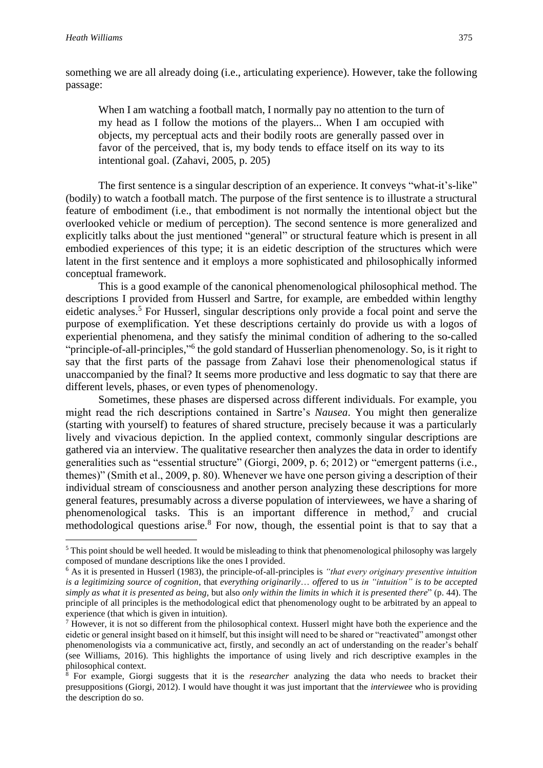something we are all already doing (i.e., articulating experience). However, take the following passage:

When I am watching a football match, I normally pay no attention to the turn of my head as I follow the motions of the players... When I am occupied with objects, my perceptual acts and their bodily roots are generally passed over in favor of the perceived, that is, my body tends to efface itself on its way to its intentional goal. (Zahavi, 2005, p. 205)

The first sentence is a singular description of an experience. It conveys "what-it's-like" (bodily) to watch a football match. The purpose of the first sentence is to illustrate a structural feature of embodiment (i.e., that embodiment is not normally the intentional object but the overlooked vehicle or medium of perception). The second sentence is more generalized and explicitly talks about the just mentioned "general" or structural feature which is present in all embodied experiences of this type; it is an eidetic description of the structures which were latent in the first sentence and it employs a more sophisticated and philosophically informed conceptual framework.

This is a good example of the canonical phenomenological philosophical method. The descriptions I provided from Husserl and Sartre, for example, are embedded within lengthy eidetic analyses.<sup>5</sup> For Husserl, singular descriptions only provide a focal point and serve the purpose of exemplification. Yet these descriptions certainly do provide us with a logos of experiential phenomena, and they satisfy the minimal condition of adhering to the so-called "principle-of-all-principles,"<sup>6</sup> the gold standard of Husserlian phenomenology. So, is it right to say that the first parts of the passage from Zahavi lose their phenomenological status if unaccompanied by the final? It seems more productive and less dogmatic to say that there are different levels, phases, or even types of phenomenology.

Sometimes, these phases are dispersed across different individuals. For example, you might read the rich descriptions contained in Sartre's *Nausea*. You might then generalize (starting with yourself) to features of shared structure, precisely because it was a particularly lively and vivacious depiction. In the applied context, commonly singular descriptions are gathered via an interview. The qualitative researcher then analyzes the data in order to identify generalities such as "essential structure" (Giorgi, 2009, p. 6; 2012) or "emergent patterns (i.e., themes)" (Smith et al., 2009, p. 80). Whenever we have one person giving a description of their individual stream of consciousness and another person analyzing these descriptions for more general features, presumably across a diverse population of interviewees, we have a sharing of phenomenological tasks. This is an important difference in method,<sup>7</sup> and crucial methodological questions arise.<sup>8</sup> For now, though, the essential point is that to say that a

<sup>&</sup>lt;sup>5</sup> This point should be well heeded. It would be misleading to think that phenomenological philosophy was largely composed of mundane descriptions like the ones I provided.

<sup>6</sup> As it is presented in Husserl (1983), the principle-of-all-principles is *"that every originary presentive intuition is a legitimizing source of cognition*, that *everything originarily*… *offered* to us *in "intuition" is to be accepted simply as what it is presented as being,* but also *only within the limits in which it is presented there*" (p. 44). The principle of all principles is the methodological edict that phenomenology ought to be arbitrated by an appeal to experience (that which is given in intuition).

<sup>&</sup>lt;sup>7</sup> However, it is not so different from the philosophical context. Husserl might have both the experience and the eidetic or general insight based on it himself, but this insight will need to be shared or "reactivated" amongst other phenomenologists via a communicative act, firstly, and secondly an act of understanding on the reader's behalf (see Williams, 2016). This highlights the importance of using lively and rich descriptive examples in the philosophical context.

<sup>8</sup> For example, Giorgi suggests that it is the *researcher* analyzing the data who needs to bracket their presuppositions (Giorgi, 2012). I would have thought it was just important that the *interviewee* who is providing the description do so.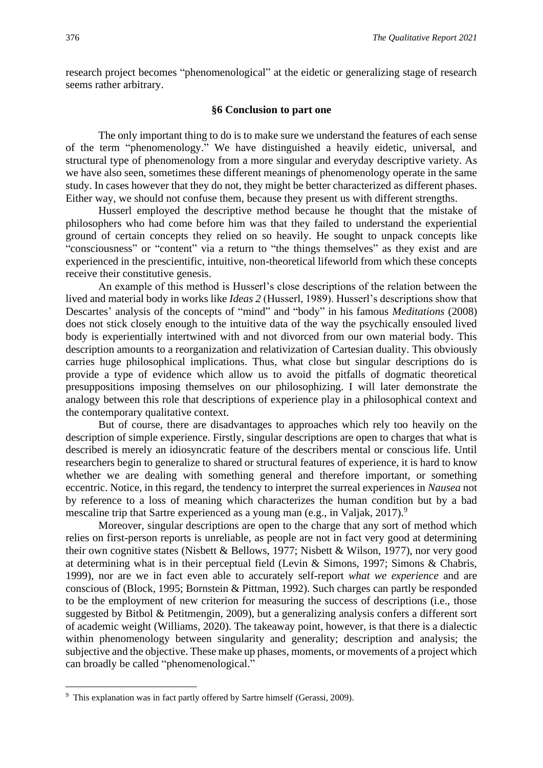research project becomes "phenomenological" at the eidetic or generalizing stage of research seems rather arbitrary.

#### **§6 Conclusion to part one**

The only important thing to do is to make sure we understand the features of each sense of the term "phenomenology." We have distinguished a heavily eidetic, universal, and structural type of phenomenology from a more singular and everyday descriptive variety. As we have also seen, sometimes these different meanings of phenomenology operate in the same study. In cases however that they do not, they might be better characterized as different phases. Either way, we should not confuse them, because they present us with different strengths.

Husserl employed the descriptive method because he thought that the mistake of philosophers who had come before him was that they failed to understand the experiential ground of certain concepts they relied on so heavily. He sought to unpack concepts like "consciousness" or "content" via a return to "the things themselves" as they exist and are experienced in the prescientific, intuitive, non-theoretical lifeworld from which these concepts receive their constitutive genesis.

An example of this method is Husserl's close descriptions of the relation between the lived and material body in works like *Ideas 2* (Husserl, 1989). Husserl's descriptions show that Descartes' analysis of the concepts of "mind" and "body" in his famous *Meditations* (2008) does not stick closely enough to the intuitive data of the way the psychically ensouled lived body is experientially intertwined with and not divorced from our own material body. This description amounts to a reorganization and relativization of Cartesian duality. This obviously carries huge philosophical implications. Thus, what close but singular descriptions do is provide a type of evidence which allow us to avoid the pitfalls of dogmatic theoretical presuppositions imposing themselves on our philosophizing. I will later demonstrate the analogy between this role that descriptions of experience play in a philosophical context and the contemporary qualitative context.

But of course, there are disadvantages to approaches which rely too heavily on the description of simple experience. Firstly, singular descriptions are open to charges that what is described is merely an idiosyncratic feature of the describers mental or conscious life. Until researchers begin to generalize to shared or structural features of experience, it is hard to know whether we are dealing with something general and therefore important, or something eccentric. Notice, in this regard, the tendency to interpret the surreal experiences in *Nausea* not by reference to a loss of meaning which characterizes the human condition but by a bad mescaline trip that Sartre experienced as a young man (e.g., in Valjak, 2017).<sup>9</sup>

Moreover, singular descriptions are open to the charge that any sort of method which relies on first-person reports is unreliable, as people are not in fact very good at determining their own cognitive states (Nisbett & Bellows, 1977; Nisbett & Wilson, 1977), nor very good at determining what is in their perceptual field (Levin & Simons, 1997; Simons & Chabris, 1999), nor are we in fact even able to accurately self-report *what we experience* and are conscious of (Block, 1995; Bornstein & Pittman, 1992). Such charges can partly be responded to be the employment of new criterion for measuring the success of descriptions (i.e., those suggested by Bitbol & Petitmengin, 2009), but a generalizing analysis confers a different sort of academic weight (Williams, 2020). The takeaway point, however, is that there is a dialectic within phenomenology between singularity and generality; description and analysis; the subjective and the objective. These make up phases, moments, or movements of a project which can broadly be called "phenomenological."

<sup>&</sup>lt;sup>9</sup> This explanation was in fact partly offered by Sartre himself (Gerassi, 2009).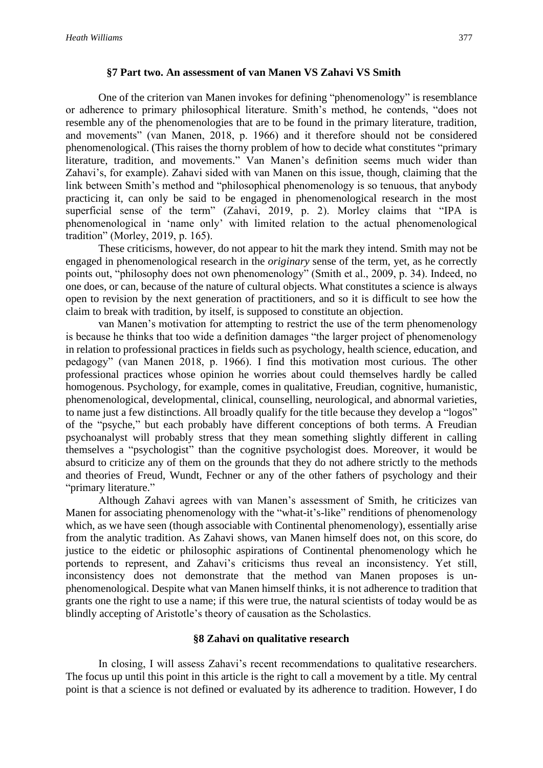#### **§7 Part two. An assessment of van Manen VS Zahavi VS Smith**

One of the criterion van Manen invokes for defining "phenomenology" is resemblance or adherence to primary philosophical literature. Smith's method, he contends, "does not resemble any of the phenomenologies that are to be found in the primary literature, tradition, and movements" (van Manen, 2018, p. 1966) and it therefore should not be considered phenomenological. (This raises the thorny problem of how to decide what constitutes "primary literature, tradition, and movements." Van Manen's definition seems much wider than Zahavi's, for example). Zahavi sided with van Manen on this issue, though, claiming that the link between Smith's method and "philosophical phenomenology is so tenuous, that anybody practicing it, can only be said to be engaged in phenomenological research in the most superficial sense of the term" (Zahavi, 2019, p. 2). Morley claims that "IPA is phenomenological in 'name only' with limited relation to the actual phenomenological tradition" (Morley, 2019, p. 165).

These criticisms, however, do not appear to hit the mark they intend. Smith may not be engaged in phenomenological research in the *originary* sense of the term, yet, as he correctly points out, "philosophy does not own phenomenology" (Smith et al., 2009, p. 34). Indeed, no one does, or can, because of the nature of cultural objects. What constitutes a science is always open to revision by the next generation of practitioners, and so it is difficult to see how the claim to break with tradition, by itself, is supposed to constitute an objection.

van Manen's motivation for attempting to restrict the use of the term phenomenology is because he thinks that too wide a definition damages "the larger project of phenomenology in relation to professional practices in fields such as psychology, health science, education, and pedagogy" (van Manen 2018, p. 1966). I find this motivation most curious. The other professional practices whose opinion he worries about could themselves hardly be called homogenous. Psychology, for example, comes in qualitative, Freudian, cognitive, humanistic, phenomenological, developmental, clinical, counselling, neurological, and abnormal varieties, to name just a few distinctions. All broadly qualify for the title because they develop a "logos" of the "psyche," but each probably have different conceptions of both terms. A Freudian psychoanalyst will probably stress that they mean something slightly different in calling themselves a "psychologist" than the cognitive psychologist does. Moreover, it would be absurd to criticize any of them on the grounds that they do not adhere strictly to the methods and theories of Freud, Wundt, Fechner or any of the other fathers of psychology and their "primary literature."

Although Zahavi agrees with van Manen's assessment of Smith, he criticizes van Manen for associating phenomenology with the "what-it's-like" renditions of phenomenology which, as we have seen (though associable with Continental phenomenology), essentially arise from the analytic tradition. As Zahavi shows, van Manen himself does not, on this score, do justice to the eidetic or philosophic aspirations of Continental phenomenology which he portends to represent, and Zahavi's criticisms thus reveal an inconsistency. Yet still, inconsistency does not demonstrate that the method van Manen proposes is unphenomenological. Despite what van Manen himself thinks, it is not adherence to tradition that grants one the right to use a name; if this were true, the natural scientists of today would be as blindly accepting of Aristotle's theory of causation as the Scholastics.

#### **§8 Zahavi on qualitative research**

In closing, I will assess Zahavi's recent recommendations to qualitative researchers. The focus up until this point in this article is the right to call a movement by a title. My central point is that a science is not defined or evaluated by its adherence to tradition. However, I do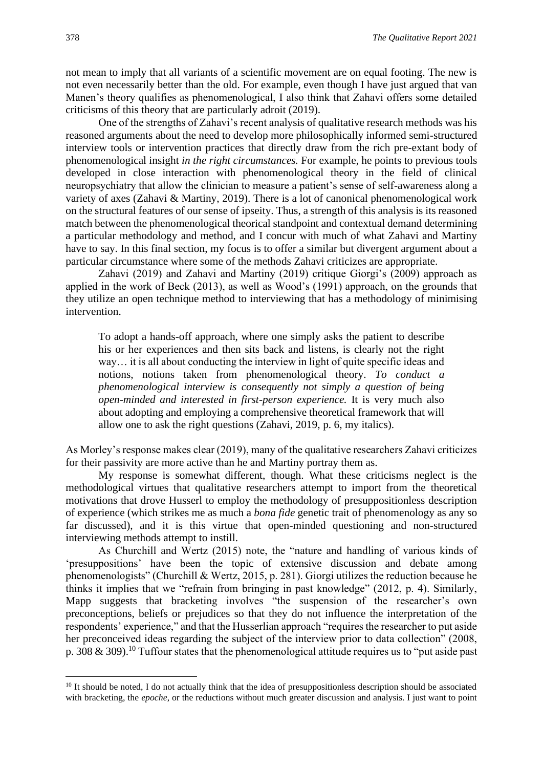not mean to imply that all variants of a scientific movement are on equal footing. The new is not even necessarily better than the old. For example, even though I have just argued that van Manen's theory qualifies as phenomenological, I also think that Zahavi offers some detailed criticisms of this theory that are particularly adroit (2019).

One of the strengths of Zahavi's recent analysis of qualitative research methods was his reasoned arguments about the need to develop more philosophically informed semi-structured interview tools or intervention practices that directly draw from the rich pre-extant body of phenomenological insight *in the right circumstances.* For example, he points to previous tools developed in close interaction with phenomenological theory in the field of clinical neuropsychiatry that allow the clinician to measure a patient's sense of self-awareness along a variety of axes (Zahavi & Martiny, 2019). There is a lot of canonical phenomenological work on the structural features of our sense of ipseity. Thus, a strength of this analysis is its reasoned match between the phenomenological theorical standpoint and contextual demand determining a particular methodology and method, and I concur with much of what Zahavi and Martiny have to say. In this final section, my focus is to offer a similar but divergent argument about a particular circumstance where some of the methods Zahavi criticizes are appropriate.

Zahavi (2019) and Zahavi and Martiny (2019) critique Giorgi's (2009) approach as applied in the work of Beck (2013), as well as Wood's (1991) approach, on the grounds that they utilize an open technique method to interviewing that has a methodology of minimising intervention.

To adopt a hands-off approach, where one simply asks the patient to describe his or her experiences and then sits back and listens, is clearly not the right way… it is all about conducting the interview in light of quite specific ideas and notions, notions taken from phenomenological theory. *To conduct a phenomenological interview is consequently not simply a question of being open-minded and interested in first-person experience.* It is very much also about adopting and employing a comprehensive theoretical framework that will allow one to ask the right questions (Zahavi, 2019, p. 6, my italics).

As Morley's response makes clear (2019), many of the qualitative researchers Zahavi criticizes for their passivity are more active than he and Martiny portray them as.

My response is somewhat different, though. What these criticisms neglect is the methodological virtues that qualitative researchers attempt to import from the theoretical motivations that drove Husserl to employ the methodology of presuppositionless description of experience (which strikes me as much a *bona fide* genetic trait of phenomenology as any so far discussed), and it is this virtue that open-minded questioning and non-structured interviewing methods attempt to instill.

As Churchill and Wertz (2015) note, the "nature and handling of various kinds of 'presuppositions' have been the topic of extensive discussion and debate among phenomenologists" (Churchill & Wertz, 2015, p. 281). Giorgi utilizes the reduction because he thinks it implies that we "refrain from bringing in past knowledge" (2012, p. 4). Similarly, Mapp suggests that bracketing involves "the suspension of the researcher's own preconceptions, beliefs or prejudices so that they do not influence the interpretation of the respondents' experience," and that the Husserlian approach "requires the researcher to put aside her preconceived ideas regarding the subject of the interview prior to data collection" (2008, p. 308  $\&$  309).<sup>10</sup> Tuffour states that the phenomenological attitude requires us to "put aside past"

 $10$  It should be noted, I do not actually think that the idea of presuppositionless description should be associated with bracketing, the *epoche*, or the reductions without much greater discussion and analysis. I just want to point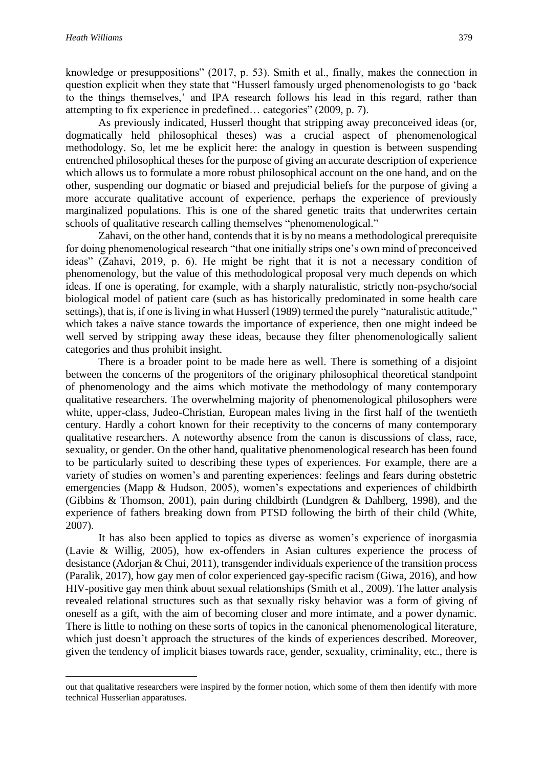knowledge or presuppositions" (2017, p. 53). Smith et al., finally, makes the connection in question explicit when they state that "Husserl famously urged phenomenologists to go 'back to the things themselves,' and IPA research follows his lead in this regard, rather than attempting to fix experience in predefined… categories" (2009, p. 7).

As previously indicated, Husserl thought that stripping away preconceived ideas (or, dogmatically held philosophical theses) was a crucial aspect of phenomenological methodology. So, let me be explicit here: the analogy in question is between suspending entrenched philosophical theses for the purpose of giving an accurate description of experience which allows us to formulate a more robust philosophical account on the one hand, and on the other, suspending our dogmatic or biased and prejudicial beliefs for the purpose of giving a more accurate qualitative account of experience, perhaps the experience of previously marginalized populations. This is one of the shared genetic traits that underwrites certain schools of qualitative research calling themselves "phenomenological."

Zahavi, on the other hand, contends that it is by no means a methodological prerequisite for doing phenomenological research "that one initially strips one's own mind of preconceived ideas" (Zahavi, 2019, p. 6). He might be right that it is not a necessary condition of phenomenology, but the value of this methodological proposal very much depends on which ideas. If one is operating, for example, with a sharply naturalistic, strictly non-psycho/social biological model of patient care (such as has historically predominated in some health care settings), that is, if one is living in what Husserl (1989) termed the purely "naturalistic attitude," which takes a naïve stance towards the importance of experience, then one might indeed be well served by stripping away these ideas, because they filter phenomenologically salient categories and thus prohibit insight.

There is a broader point to be made here as well. There is something of a disjoint between the concerns of the progenitors of the originary philosophical theoretical standpoint of phenomenology and the aims which motivate the methodology of many contemporary qualitative researchers. The overwhelming majority of phenomenological philosophers were white, upper-class, Judeo-Christian, European males living in the first half of the twentieth century. Hardly a cohort known for their receptivity to the concerns of many contemporary qualitative researchers. A noteworthy absence from the canon is discussions of class, race, sexuality, or gender. On the other hand, qualitative phenomenological research has been found to be particularly suited to describing these types of experiences. For example, there are a variety of studies on women's and parenting experiences: feelings and fears during obstetric emergencies (Mapp & Hudson, 2005), women's expectations and experiences of childbirth (Gibbins & Thomson, 2001), pain during childbirth (Lundgren & Dahlberg, 1998), and the experience of fathers breaking down from PTSD following the birth of their child (White, 2007).

It has also been applied to topics as diverse as women's experience of inorgasmia (Lavie & Willig, 2005), how ex-offenders in Asian cultures experience the process of desistance (Adorjan & Chui, 2011), transgender individuals experience of the transition process (Paralik, 2017), how gay men of color experienced gay-specific racism (Giwa, 2016), and how HIV-positive gay men think about sexual relationships (Smith et al., 2009). The latter analysis revealed relational structures such as that sexually risky behavior was a form of giving of oneself as a gift, with the aim of becoming closer and more intimate, and a power dynamic. There is little to nothing on these sorts of topics in the canonical phenomenological literature, which just doesn't approach the structures of the kinds of experiences described. Moreover, given the tendency of implicit biases towards race, gender, sexuality, criminality, etc., there is

out that qualitative researchers were inspired by the former notion, which some of them then identify with more technical Husserlian apparatuses.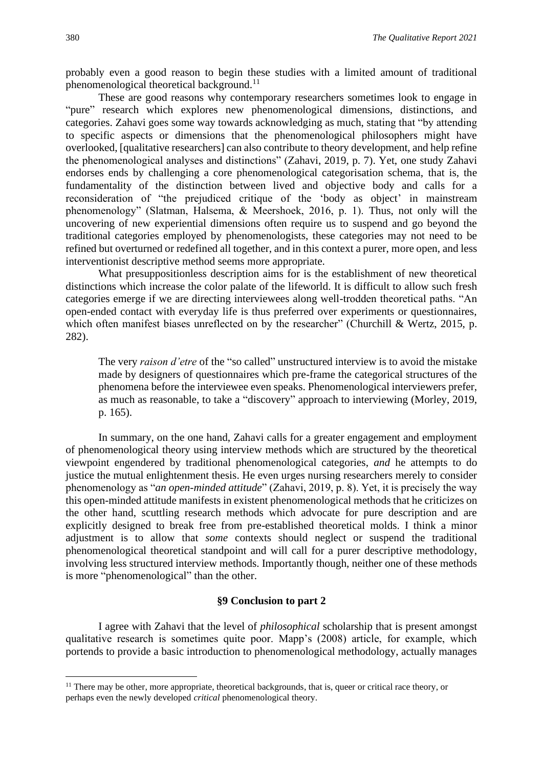probably even a good reason to begin these studies with a limited amount of traditional phenomenological theoretical background.<sup>11</sup>

These are good reasons why contemporary researchers sometimes look to engage in "pure" research which explores new phenomenological dimensions, distinctions, and categories. Zahavi goes some way towards acknowledging as much, stating that "by attending to specific aspects or dimensions that the phenomenological philosophers might have overlooked, [qualitative researchers] can also contribute to theory development, and help refine the phenomenological analyses and distinctions" (Zahavi, 2019, p. 7). Yet, one study Zahavi endorses ends by challenging a core phenomenological categorisation schema, that is, the fundamentality of the distinction between lived and objective body and calls for a reconsideration of "the prejudiced critique of the 'body as object' in mainstream phenomenology" (Slatman, Halsema, & Meershoek, 2016, p. 1). Thus, not only will the uncovering of new experiential dimensions often require us to suspend and go beyond the traditional categories employed by phenomenologists, these categories may not need to be refined but overturned or redefined all together, and in this context a purer, more open, and less interventionist descriptive method seems more appropriate.

What presuppositionless description aims for is the establishment of new theoretical distinctions which increase the color palate of the lifeworld. It is difficult to allow such fresh categories emerge if we are directing interviewees along well-trodden theoretical paths. "An open-ended contact with everyday life is thus preferred over experiments or questionnaires, which often manifest biases unreflected on by the researcher" (Churchill & Wertz, 2015, p. 282).

The very *raison d'etre* of the "so called" unstructured interview is to avoid the mistake made by designers of questionnaires which pre-frame the categorical structures of the phenomena before the interviewee even speaks. Phenomenological interviewers prefer, as much as reasonable, to take a "discovery" approach to interviewing (Morley, 2019, p. 165).

In summary, on the one hand, Zahavi calls for a greater engagement and employment of phenomenological theory using interview methods which are structured by the theoretical viewpoint engendered by traditional phenomenological categories, *and* he attempts to do justice the mutual enlightenment thesis. He even urges nursing researchers merely to consider phenomenology as "*an open-minded attitude*" (Zahavi, 2019, p. 8). Yet, it is precisely the way this open-minded attitude manifests in existent phenomenological methods that he criticizes on the other hand, scuttling research methods which advocate for pure description and are explicitly designed to break free from pre-established theoretical molds. I think a minor adjustment is to allow that *some* contexts should neglect or suspend the traditional phenomenological theoretical standpoint and will call for a purer descriptive methodology, involving less structured interview methods. Importantly though, neither one of these methods is more "phenomenological" than the other.

#### **§9 Conclusion to part 2**

I agree with Zahavi that the level of *philosophical* scholarship that is present amongst qualitative research is sometimes quite poor. Mapp's (2008) article, for example, which portends to provide a basic introduction to phenomenological methodology, actually manages

<sup>&</sup>lt;sup>11</sup> There may be other, more appropriate, theoretical backgrounds, that is, queer or critical race theory, or perhaps even the newly developed *critical* phenomenological theory.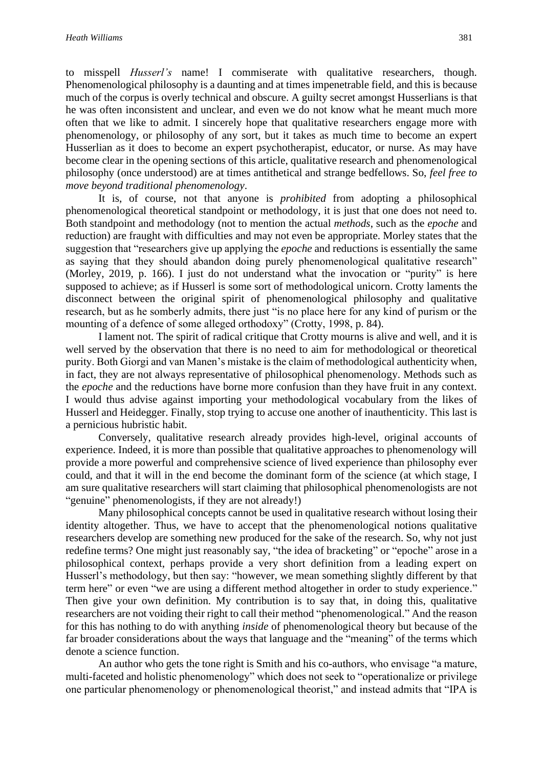to misspell *Husserl's* name! I commiserate with qualitative researchers, though. Phenomenological philosophy is a daunting and at times impenetrable field, and this is because much of the corpus is overly technical and obscure. A guilty secret amongst Husserlians is that he was often inconsistent and unclear, and even we do not know what he meant much more often that we like to admit. I sincerely hope that qualitative researchers engage more with phenomenology, or philosophy of any sort, but it takes as much time to become an expert Husserlian as it does to become an expert psychotherapist, educator, or nurse. As may have become clear in the opening sections of this article, qualitative research and phenomenological philosophy (once understood) are at times antithetical and strange bedfellows. So, *feel free to move beyond traditional phenomenology*.

It is, of course, not that anyone is *prohibited* from adopting a philosophical phenomenological theoretical standpoint or methodology, it is just that one does not need to. Both standpoint and methodology (not to mention the actual *methods*, such as the *epoche* and reduction) are fraught with difficulties and may not even be appropriate. Morley states that the suggestion that "researchers give up applying the *epoche* and reductions is essentially the same as saying that they should abandon doing purely phenomenological qualitative research" (Morley, 2019, p. 166). I just do not understand what the invocation or "purity" is here supposed to achieve; as if Husserl is some sort of methodological unicorn. Crotty laments the disconnect between the original spirit of phenomenological philosophy and qualitative research, but as he somberly admits, there just "is no place here for any kind of purism or the mounting of a defence of some alleged orthodoxy" (Crotty, 1998, p. 84).

I lament not. The spirit of radical critique that Crotty mourns is alive and well, and it is well served by the observation that there is no need to aim for methodological or theoretical purity. Both Giorgi and van Manen's mistake is the claim of methodological authenticity when, in fact, they are not always representative of philosophical phenomenology. Methods such as the *epoche* and the reductions have borne more confusion than they have fruit in any context. I would thus advise against importing your methodological vocabulary from the likes of Husserl and Heidegger. Finally, stop trying to accuse one another of inauthenticity. This last is a pernicious hubristic habit.

Conversely, qualitative research already provides high-level, original accounts of experience. Indeed, it is more than possible that qualitative approaches to phenomenology will provide a more powerful and comprehensive science of lived experience than philosophy ever could, and that it will in the end become the dominant form of the science (at which stage, I am sure qualitative researchers will start claiming that philosophical phenomenologists are not "genuine" phenomenologists, if they are not already!)

Many philosophical concepts cannot be used in qualitative research without losing their identity altogether. Thus, we have to accept that the phenomenological notions qualitative researchers develop are something new produced for the sake of the research. So, why not just redefine terms? One might just reasonably say, "the idea of bracketing" or "epoche" arose in a philosophical context, perhaps provide a very short definition from a leading expert on Husserl's methodology, but then say: "however, we mean something slightly different by that term here" or even "we are using a different method altogether in order to study experience." Then give your own definition. My contribution is to say that, in doing this, qualitative researchers are not voiding their right to call their method "phenomenological." And the reason for this has nothing to do with anything *inside* of phenomenological theory but because of the far broader considerations about the ways that language and the "meaning" of the terms which denote a science function.

An author who gets the tone right is Smith and his co-authors, who envisage "a mature, multi-faceted and holistic phenomenology" which does not seek to "operationalize or privilege one particular phenomenology or phenomenological theorist," and instead admits that "IPA is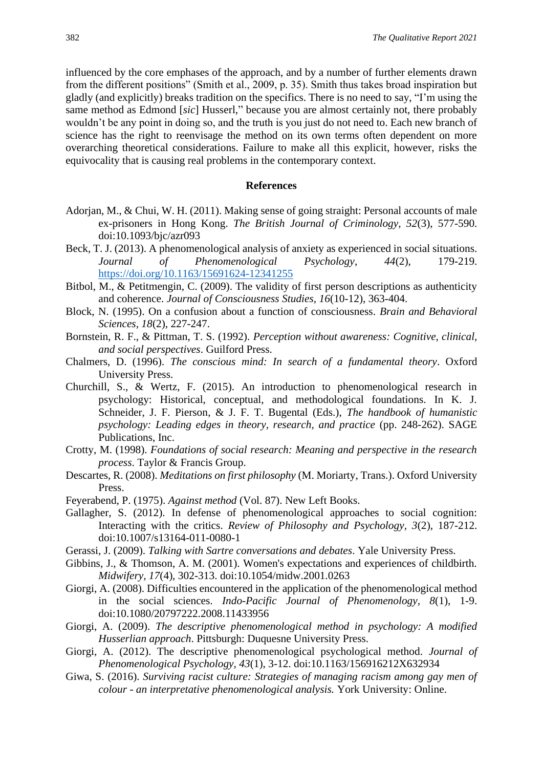influenced by the core emphases of the approach, and by a number of further elements drawn from the different positions" (Smith et al., 2009, p. 35). Smith thus takes broad inspiration but gladly (and explicitly) breaks tradition on the specifics. There is no need to say, "I'm using the same method as Edmond [*sic*] Husserl," because you are almost certainly not, there probably wouldn't be any point in doing so, and the truth is you just do not need to. Each new branch of science has the right to reenvisage the method on its own terms often dependent on more overarching theoretical considerations. Failure to make all this explicit, however, risks the equivocality that is causing real problems in the contemporary context.

#### **References**

- Adorjan, M., & Chui, W. H. (2011). Making sense of going straight: Personal accounts of male ex-prisoners in Hong Kong. *The British Journal of Criminology, 52*(3), 577-590. doi:10.1093/bjc/azr093
- Beck, T. J. (2013). A phenomenological analysis of anxiety as experienced in social situations. *Journal of Phenomenological Psychology*, *44*(2), 179-219. <https://doi.org/10.1163/15691624-12341255>
- Bitbol, M., & Petitmengin, C. (2009). The validity of first person descriptions as authenticity and coherence. *Journal of Consciousness Studies, 16*(10-12), 363-404.
- Block, N. (1995). On a confusion about a function of consciousness. *Brain and Behavioral Sciences, 18*(2), 227-247.
- Bornstein, R. F., & Pittman, T. S. (1992). *Perception without awareness: Cognitive, clinical, and social perspectives*. Guilford Press.
- Chalmers, D. (1996). *The conscious mind: In search of a fundamental theory*. Oxford University Press.
- Churchill, S., & Wertz, F. (2015). An introduction to phenomenological research in psychology: Historical, conceptual, and methodological foundations. In K. J. Schneider, J. F. Pierson, & J. F. T. Bugental (Eds.), *The handbook of humanistic psychology: Leading edges in theory, research, and practice* (pp. 248-262). SAGE Publications, Inc.
- Crotty, M. (1998). *Foundations of social research: Meaning and perspective in the research process*. Taylor & Francis Group.
- Descartes, R. (2008). *Meditations on first philosophy* (M. Moriarty, Trans.). Oxford University Press.
- Feyerabend, P. (1975). *Against method* (Vol. 87). New Left Books.
- Gallagher, S. (2012). In defense of phenomenological approaches to social cognition: Interacting with the critics. *Review of Philosophy and Psychology, 3*(2), 187-212. doi:10.1007/s13164-011-0080-1
- Gerassi, J. (2009). *Talking with Sartre conversations and debates*. Yale University Press.
- Gibbins, J., & Thomson, A. M. (2001). Women's expectations and experiences of childbirth. *Midwifery, 17*(4), 302-313. doi:10.1054/midw.2001.0263
- Giorgi, A. (2008). Difficulties encountered in the application of the phenomenological method in the social sciences. *Indo-Pacific Journal of Phenomenology, 8*(1), 1-9. doi:10.1080/20797222.2008.11433956
- Giorgi, A. (2009). *The descriptive phenomenological method in psychology: A modified Husserlian approach*. Pittsburgh: Duquesne University Press.
- Giorgi, A. (2012). The descriptive phenomenological psychological method. *Journal of Phenomenological Psychology, 43*(1), 3-12. doi:10.1163/156916212X632934
- Giwa, S. (2016). *Surviving racist culture: Strategies of managing racism among gay men of colour - an interpretative phenomenological analysis.* York University: Online.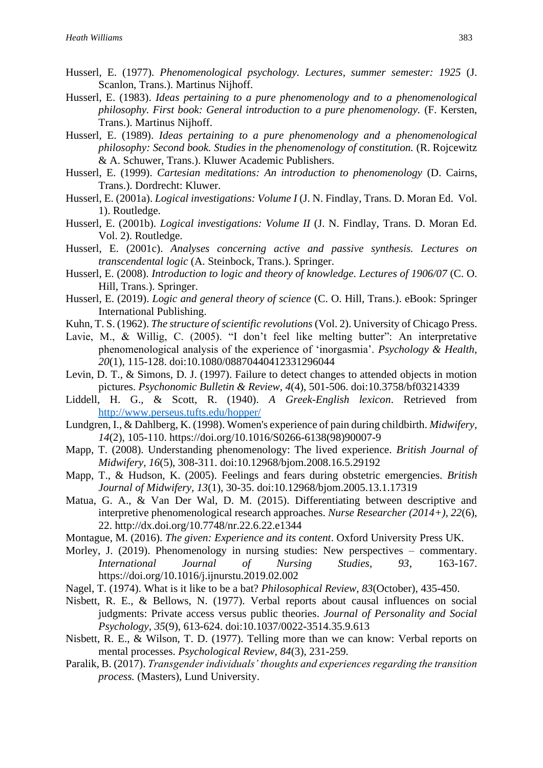- Husserl, E. (1977). *Phenomenological psychology. Lectures, summer semester: 1925* (J. Scanlon, Trans.). Martinus Nijhoff.
- Husserl, E. (1983). *Ideas pertaining to a pure phenomenology and to a phenomenological philosophy. First book: General introduction to a pure phenomenology.* (F. Kersten, Trans.). Martinus Nijhoff.
- Husserl, E. (1989). *Ideas pertaining to a pure phenomenology and a phenomenological philosophy: Second book. Studies in the phenomenology of constitution.* (R. Rojcewitz & A. Schuwer, Trans.). Kluwer Academic Publishers.
- Husserl, E. (1999). *Cartesian meditations: An introduction to phenomenology* (D. Cairns, Trans.). Dordrecht: Kluwer.
- Husserl, E. (2001a). *Logical investigations: Volume I* (J. N. Findlay, Trans. D. Moran Ed. Vol. 1). Routledge.
- Husserl, E. (2001b). *Logical investigations: Volume II* (J. N. Findlay, Trans. D. Moran Ed. Vol. 2). Routledge.
- Husserl, E. (2001c). *Analyses concerning active and passive synthesis. Lectures on transcendental logic* (A. Steinbock, Trans.). Springer.
- Husserl, E. (2008). *Introduction to logic and theory of knowledge. Lectures of 1906/07* (C. O. Hill, Trans.). Springer.
- Husserl, E. (2019). *Logic and general theory of science* (C. O. Hill, Trans.). eBook: Springer International Publishing.
- Kuhn, T. S. (1962). *The structure of scientific revolutions* (Vol. 2). University of Chicago Press.
- Lavie, M., & Willig, C. (2005). "I don't feel like melting butter": An interpretative phenomenological analysis of the experience of 'inorgasmia'. *Psychology & Health, 20*(1), 115-128. doi:10.1080/08870440412331296044
- Levin, D. T., & Simons, D. J. (1997). Failure to detect changes to attended objects in motion pictures. *Psychonomic Bulletin & Review, 4*(4), 501-506. doi:10.3758/bf03214339
- Liddell, H. G., & Scott, R. (1940). *A Greek-English lexicon*. Retrieved from <http://www.perseus.tufts.edu/hopper/>
- Lundgren, I., & Dahlberg, K. (1998). Women's experience of pain during childbirth. *Midwifery, 14*(2), 105-110. https://doi.org/10.1016/S0266-6138(98)90007-9
- Mapp, T. (2008). Understanding phenomenology: The lived experience. *British Journal of Midwifery, 16*(5), 308-311. doi:10.12968/bjom.2008.16.5.29192
- Mapp, T., & Hudson, K. (2005). Feelings and fears during obstetric emergencies. *British Journal of Midwifery, 13*(1), 30-35. doi:10.12968/bjom.2005.13.1.17319
- Matua, G. A., & Van Der Wal, D. M. (2015). Differentiating between descriptive and interpretive phenomenological research approaches. *Nurse Researcher (2014+), 22*(6), 22. http://dx.doi.org/10.7748/nr.22.6.22.e1344
- Montague, M. (2016). *The given: Experience and its content*. Oxford University Press UK.
- Morley, J. (2019). Phenomenology in nursing studies: New perspectives commentary. *International Journal of Nursing Studies, 93*, 163-167. https://doi.org/10.1016/j.ijnurstu.2019.02.002
- Nagel, T. (1974). What is it like to be a bat? *Philosophical Review, 83*(October), 435-450.
- Nisbett, R. E., & Bellows, N. (1977). Verbal reports about causal influences on social judgments: Private access versus public theories. *Journal of Personality and Social Psychology, 35*(9), 613-624. doi:10.1037/0022-3514.35.9.613
- Nisbett, R. E., & Wilson, T. D. (1977). Telling more than we can know: Verbal reports on mental processes. *Psychological Review, 84*(3), 231-259.
- Paralik, B. (2017). *Transgender individuals' thoughts and experiences regarding the transition process.* (Masters), Lund University.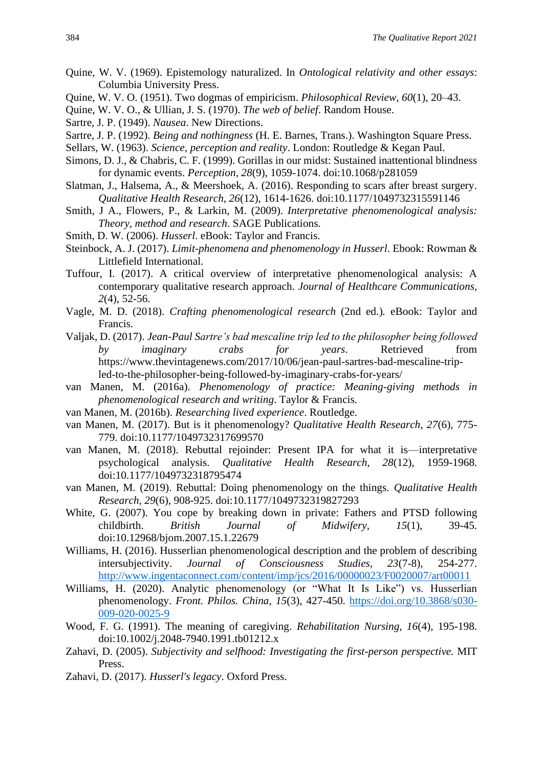- Quine, W. V. (1969). Epistemology naturalized. In *Ontological relativity and other essays*: Columbia University Press.
- Quine, W. V. O. (1951). Two dogmas of empiricism. *Philosophical Review, 60*(1), 20–43.
- Quine, W. V. O., & Ullian, J. S. (1970). *The web of belief*. Random House.
- Sartre, J. P. (1949). *Nausea*. New Directions.
- Sartre, J. P. (1992). *Being and nothingness* (H. E. Barnes, Trans.). Washington Square Press.
- Sellars, W. (1963). *Science, perception and reality*. London: Routledge & Kegan Paul.
- Simons, D. J., & Chabris, C. F. (1999). Gorillas in our midst: Sustained inattentional blindness for dynamic events. *Perception, 28*(9), 1059-1074. doi:10.1068/p281059
- Slatman, J., Halsema, A., & Meershoek, A. (2016). Responding to scars after breast surgery. *Qualitative Health Research, 26*(12), 1614-1626. doi:10.1177/1049732315591146
- Smith, J A., Flowers, P., & Larkin, M. (2009). *Interpretative phenomenological analysis: Theory, method and research*. SAGE Publications.
- Smith, D. W. (2006). *Husserl*. eBook: Taylor and Francis.
- Steinbock, A. J. (2017). *Limit-phenomena and phenomenology in Husserl*. Ebook: Rowman & Littlefield International.
- Tuffour, I. (2017). A critical overview of interpretative phenomenological analysis: A contemporary qualitative research approach. *Journal of Healthcare Communications, 2*(4), 52-56.
- Vagle, M. D. (2018). *Crafting phenomenological research* (2nd ed.)*.* eBook: Taylor and Francis.
- Valjak, D. (2017). *Jean-Paul Sartre's bad mescaline trip led to the philosopher being followed by imaginary crabs for years*. Retrieved from https://www.thevintagenews.com/2017/10/06/jean-paul-sartres-bad-mescaline-tripled-to-the-philosopher-being-followed-by-imaginary-crabs-for-years/
- van Manen, M. (2016a). *Phenomenology of practice: Meaning-giving methods in phenomenological research and writing*. Taylor & Francis.
- van Manen, M. (2016b). *Researching lived experience*. Routledge.
- van Manen, M. (2017). But is it phenomenology? *Qualitative Health Research, 27*(6), 775- 779. doi:10.1177/1049732317699570
- van Manen, M. (2018). Rebuttal rejoinder: Present IPA for what it is—interpretative psychological analysis. *Qualitative Health Research, 28*(12), 1959-1968. doi:10.1177/1049732318795474
- van Manen, M. (2019). Rebuttal: Doing phenomenology on the things. *Qualitative Health Research, 29*(6), 908-925. doi:10.1177/1049732319827293
- White, G. (2007). You cope by breaking down in private: Fathers and PTSD following childbirth. *British Journal of Midwifery, 15*(1), 39-45. doi:10.12968/bjom.2007.15.1.22679
- Williams, H. (2016). Husserlian phenomenological description and the problem of describing intersubjectivity. *Journal of Consciousness Studies, 23*(7-8), 254-277. <http://www.ingentaconnect.com/content/imp/jcs/2016/00000023/F0020007/art00011>
- Williams, H. (2020). Analytic phenomenology (or "What It Is Like") vs. Husserlian phenomenology. *Front. Philos. China, 15*(3), 427-450. [https://doi.org/10.3868/s030-](https://doi.org/10.3868/s030-009-020-0025-9) [009-020-0025-9](https://doi.org/10.3868/s030-009-020-0025-9)
- Wood, F. G. (1991). The meaning of caregiving. *Rehabilitation Nursing, 16*(4), 195-198. doi:10.1002/j.2048-7940.1991.tb01212.x
- Zahavi, D. (2005). *Subjectivity and selfhood: Investigating the first-person perspective.* MIT Press.
- Zahavi, D. (2017). *Husserl's legacy*. Oxford Press.